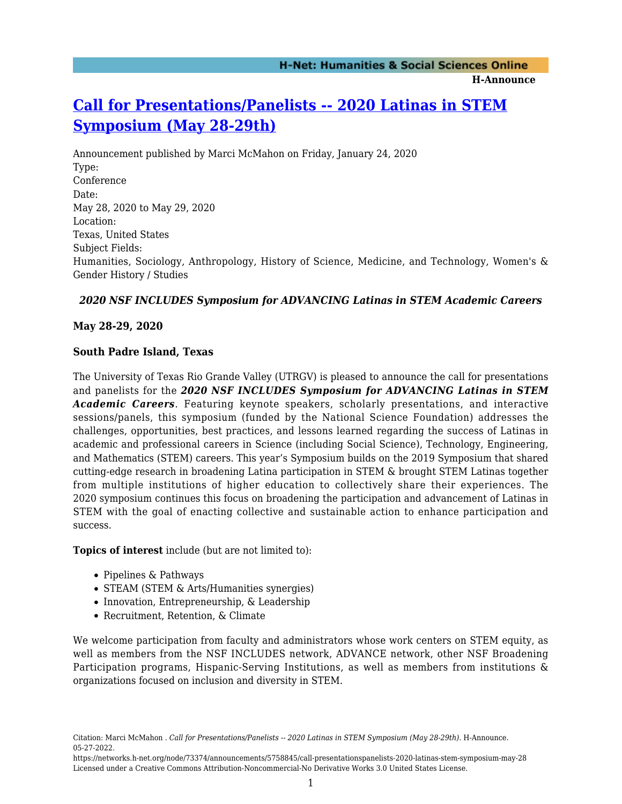# **[Call for Presentations/Panelists -- 2020 Latinas in STEM](https://networks.h-net.org/node/73374/announcements/5758845/call-presentationspanelists-2020-latinas-stem-symposium-may-28) [Symposium \(May 28-29th\)](https://networks.h-net.org/node/73374/announcements/5758845/call-presentationspanelists-2020-latinas-stem-symposium-may-28)**

Announcement published by Marci McMahon on Friday, January 24, 2020 Type: Conference Date: May 28, 2020 to May 29, 2020 Location: Texas, United States Subject Fields: Humanities, Sociology, Anthropology, History of Science, Medicine, and Technology, Women's & Gender History / Studies

## *2020 NSF INCLUDES Symposium for ADVANCING Latinas in STEM Academic Careers*

## **May 28-29, 2020**

## **South Padre Island, Texas**

The University of Texas Rio Grande Valley (UTRGV) is pleased to announce the call for presentations and panelists for the *2020 NSF INCLUDES Symposium for ADVANCING Latinas in STEM Academic Careers*. Featuring keynote speakers, scholarly presentations, and interactive sessions/panels, this symposium (funded by the National Science Foundation) addresses the challenges, opportunities, best practices, and lessons learned regarding the success of Latinas in academic and professional careers in Science (including Social Science), Technology, Engineering, and Mathematics (STEM) careers. This year's Symposium builds on the 2019 Symposium that shared cutting-edge research in broadening Latina participation in STEM & brought STEM Latinas together from multiple institutions of higher education to collectively share their experiences. The 2020 symposium continues this focus on broadening the participation and advancement of Latinas in STEM with the goal of enacting collective and sustainable action to enhance participation and success.

**Topics of interest** include (but are not limited to):

- Pipelines & Pathways
- STEAM (STEM & Arts/Humanities synergies)
- Innovation, Entrepreneurship, & Leadership
- Recruitment, Retention, & Climate

We welcome participation from faculty and administrators whose work centers on STEM equity, as well as members from the NSF INCLUDES network, ADVANCE network, other NSF Broadening Participation programs, Hispanic-Serving Institutions, as well as members from institutions & organizations focused on inclusion and diversity in STEM.

Citation: Marci McMahon . *Call for Presentations/Panelists -- 2020 Latinas in STEM Symposium (May 28-29th)*. H-Announce. 05-27-2022.

https://networks.h-net.org/node/73374/announcements/5758845/call-presentationspanelists-2020-latinas-stem-symposium-may-28 Licensed under a Creative Commons Attribution-Noncommercial-No Derivative Works 3.0 United States License.